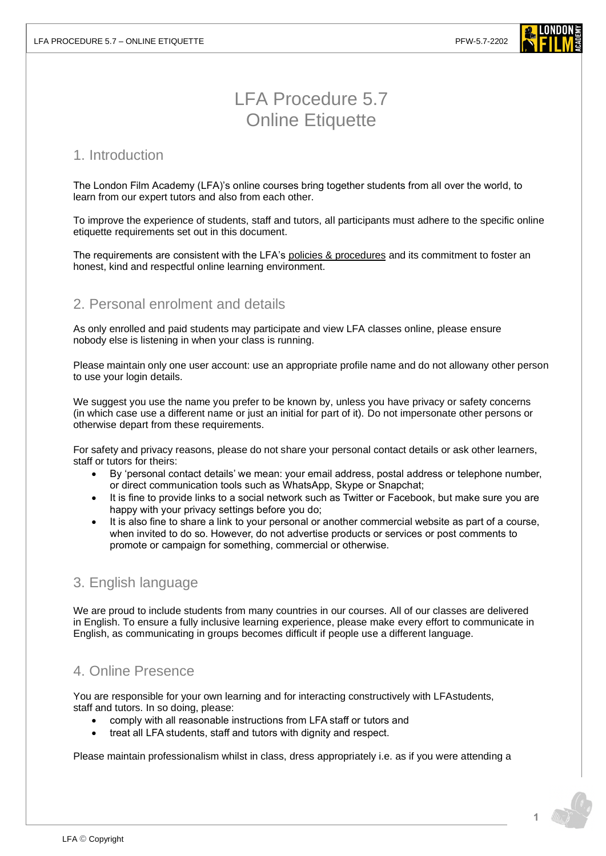

# LFA Procedure 5.7 Online Etiquette

#### 1. Introduction

The London Film Academy (LFA)'s online courses bring together students from all over the world, to learn from our expert tutors and also from each other.

To improve the experience of students, staff and tutors, all participants must adhere to the specific online etiquette requirements set out in this document.

The requirements are consistent with the LFA's [policies & procedures](https://www.londonfilmacademy.com/policies-regulations) and its commitment to foster an honest, kind and respectful online learning environment.

# 2. Personal enrolment and details

As only enrolled and paid students may participate and view LFA classes online, please ensure nobody else is listening in when your class is running.

Please maintain only one user account: use an appropriate profile name and do not allowany other person to use your login details.

We suggest you use the name you prefer to be known by, unless you have privacy or safety concerns (in which case use a different name or just an initial for part of it). Do not impersonate other persons or otherwise depart from these requirements.

For safety and privacy reasons, please do not share your personal contact details or ask other learners, staff or tutors for theirs:

- By 'personal contact details' we mean: your email address, postal address or telephone number, or direct communication tools such as WhatsApp, Skype or Snapchat;
- It is fine to provide links to a social network such as Twitter or Facebook, but make sure you are happy with your privacy settings before you do;
- It is also fine to share a link to your personal or another commercial website as part of a course, when invited to do so. However, do not advertise products or services or post comments to promote or campaign for something, commercial or otherwise.

# 3. English language

We are proud to include students from many countries in our courses. All of our classes are delivered in English. To ensure a fully inclusive learning experience, please make every effort to communicate in English, as communicating in groups becomes difficult if people use a different language.

# 4. Online Presence

You are responsible for your own learning and for interacting constructively with LFAstudents, staff and tutors. In so doing, please:

- comply with all reasonable instructions from LFA staff or tutors and
- treat all LFA students, staff and tutors with dignity and respect.

Please maintain professionalism whilst in class, dress appropriately i.e. as if you were attending a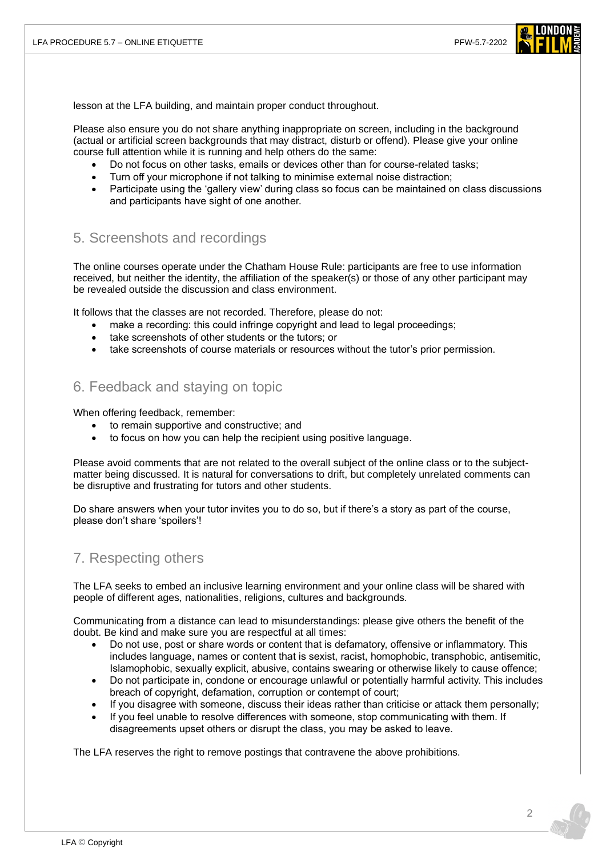

lesson at the LFA building, and maintain proper conduct throughout.

Please also ensure you do not share anything inappropriate on screen, including in the background (actual or artificial screen backgrounds that may distract, disturb or offend). Please give your online course full attention while it is running and help others do the same:

- Do not focus on other tasks, emails or devices other than for course-related tasks;
- Turn off your microphone if not talking to minimise external noise distraction;
- Participate using the 'gallery view' during class so focus can be maintained on class discussions and participants have sight of one another.

#### 5. Screenshots and recordings

The online courses operate under the Chatham House Rule: participants are free to use information received, but neither the identity, the affiliation of the speaker(s) or those of any other participant may be revealed outside the discussion and class environment.

It follows that the classes are not recorded. Therefore, please do not:

- make a recording: this could infringe copyright and lead to legal proceedings;
- take screenshots of other students or the tutors; or
- take screenshots of course materials or resources without the tutor's prior permission.

### 6. Feedback and staying on topic

When offering feedback, remember:

- to remain supportive and constructive; and
- to focus on how you can help the recipient using positive language.

Please avoid comments that are not related to the overall subject of the online class or to the subjectmatter being discussed. It is natural for conversations to drift, but completely unrelated comments can be disruptive and frustrating for tutors and other students.

Do share answers when your tutor invites you to do so, but if there's a story as part of the course, please don't share 'spoilers'!

# 7. Respecting others

The LFA seeks to embed an inclusive learning environment and your online class will be shared with people of different ages, nationalities, religions, cultures and backgrounds.

Communicating from a distance can lead to misunderstandings: please give others the benefit of the doubt. Be kind and make sure you are respectful at all times:

- Do not use, post or share words or content that is defamatory, offensive or inflammatory. This includes language, names or content that is sexist, racist, homophobic, transphobic, antisemitic, Islamophobic, sexually explicit, abusive, contains swearing or otherwise likely to cause offence;
- Do not participate in, condone or encourage unlawful or potentially harmful activity. This includes breach of copyright, defamation, corruption or contempt of court;
- If you disagree with someone, discuss their ideas rather than criticise or attack them personally;
- If you feel unable to resolve differences with someone, stop communicating with them. If disagreements upset others or disrupt the class, you may be asked to leave.

The LFA reserves the right to remove postings that contravene the above prohibitions.